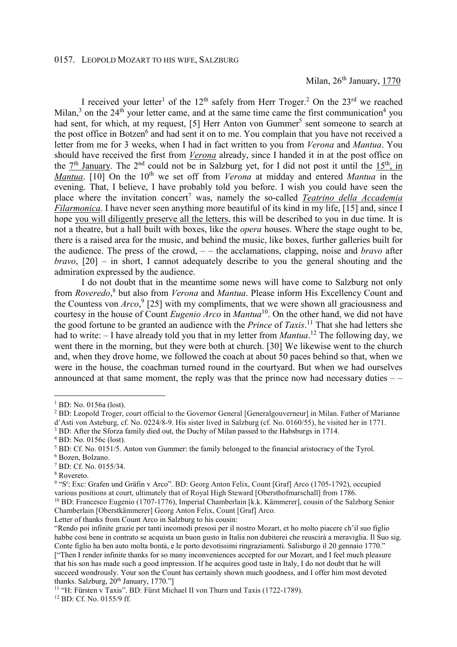I received your letter<sup>1</sup> of the  $12<sup>th</sup>$  safely from Herr Troger.<sup>2</sup> On the  $23<sup>rd</sup>$  we reached Milan,<sup>3</sup> on the 24<sup>th</sup> your letter came, and at the same time came the first communication<sup>4</sup> you had sent, for which, at my request, [5] Herr Anton von Gummer<sup>5</sup> sent someone to search at the post office in Botzen<sup>6</sup> and had sent it on to me. You complain that you have not received a letter from me for 3 weeks, when I had in fact written to you from *Verona* and *Mantua*. You should have received the first from *Verona* already, since I handed it in at the post office on the  $7<sup>th</sup>$  January. The  $2<sup>nd</sup>$  could not be in Salzburg yet, for I did not post it until the 15<sup>th</sup>, in *Mantua*. [10] On the 10<sup>th</sup> we set off from *Verona* at midday and entered *Mantua* in the evening. That, I believe, I have probably told you before. I wish you could have seen the place where the invitation concert<sup>7</sup> was, namely the so-called *Teatrino della Accademia Filarmonica*. I have never seen anything more beautiful of its kind in my life, [15] and, since I hope you will diligently preserve all the letters, this will be described to you in due time. It is not a theatre, but a hall built with boxes, like the *opera* houses. Where the stage ought to be, there is a raised area for the music, and behind the music, like boxes, further galleries built for the audience. The press of the crowd, – – the acclamations, clapping, noise and *bravo* after *bravo*, [20] – in short, I cannot adequately describe to you the general shouting and the admiration expressed by the audience.

 I do not doubt that in the meantime some news will have come to Salzburg not only from *Roveredo*,<sup>8</sup> but also from *Verona* and *Mantua*. Please inform His Excellency Count and the Countess von *Arco*,<sup>9</sup> [25] with my compliments, that we were shown all graciousness and courtesy in the house of Count *Eugenio Arco* in *Mantua*<sup>10</sup>. On the other hand, we did not have the good fortune to be granted an audience with the *Prince* of *Taxis*. <sup>11</sup> That she had letters she had to write: – I have already told you that in my letter from *Mantua*. <sup>12</sup> The following day, we went there in the morning, but they were both at church. [30] We likewise went to the church and, when they drove home, we followed the coach at about 50 paces behind so that, when we were in the house, the coachman turned round in the courtyard. But when we had ourselves announced at that same moment, the reply was that the prince now had necessary duties  $-$ 

7 BD: Cf. No. 0155/34.

 $\overline{a}$ 

Letter of thanks from Count Arco in Salzburg to his cousin:

<sup>&</sup>lt;sup>1</sup> BD: No. 0156a (lost).

<sup>&</sup>lt;sup>2</sup> BD: Leopold Troger, court official to the Governor General [Generalgouverneur] in Milan. Father of Marianne d'Asti von Asteburg, cf. No. 0224/8-9. His sister lived in Salzburg (cf. No. 0160/55), he visited her in 1771.

<sup>&</sup>lt;sup>3</sup> BD: After the Sforza family died out, the Duchy of Milan passed to the Habsburgs in 1714.

<sup>4</sup> BD: No. 0156c (lost).

<sup>&</sup>lt;sup>5</sup> BD: Cf. No. 0151/5. Anton von Gummer: the family belonged to the financial aristocracy of the Tyrol.

<sup>6</sup> Bozen, Bolzano.

<sup>8</sup> Rovereto.

<sup>&</sup>lt;sup>9</sup> "S<sup>r</sup>: Exc: Grafen und Gräfin v Arco". BD: Georg Anton Felix, Count [Graf] Arco (1705-1792), occupied various positions at court, ultimately that of Royal High Steward [Obersthofmarschall] from 1786. <sup>10</sup> BD: Francesco Eugenio (1707-1776), Imperial Chamberlain [k.k. Kämmerer], cousin of the Salzburg Senior Chamberlain [Oberstkämmerer] Georg Anton Felix, Count [Graf] Arco.

<sup>&</sup>quot;Rendo poi infinite grazie per tanti incomodi presosi per il nostro Mozart, et ho molto piacere ch'il suo figlio habbe cosi bene in contrato se acquista un buon gusto in Italia non dubiterei che reuscirà a meraviglia. Il Suo sig. Conte figlio ha ben auto molta bontà, e le porto devotissimi ringraziamenti. Salisburgo il 20 gennaio 1770." ["Then I render infinite thanks for so many inconveniences accepted for our Mozart, and I feel much pleasure that his son has made such a good impression. If he acquires good taste in Italy, I do not doubt that he will succeed wondrously. Your son the Count has certainly shown much goodness, and I offer him most devoted thanks. Salzburg,  $20^{th}$  January, 1770."]

<sup>&</sup>lt;sup>11</sup> "H: Fürsten v Taxis". BD: Fürst Michael II von Thurn und Taxis (1722-1789).

<sup>12</sup> BD: Cf. No. 0155/9 ff.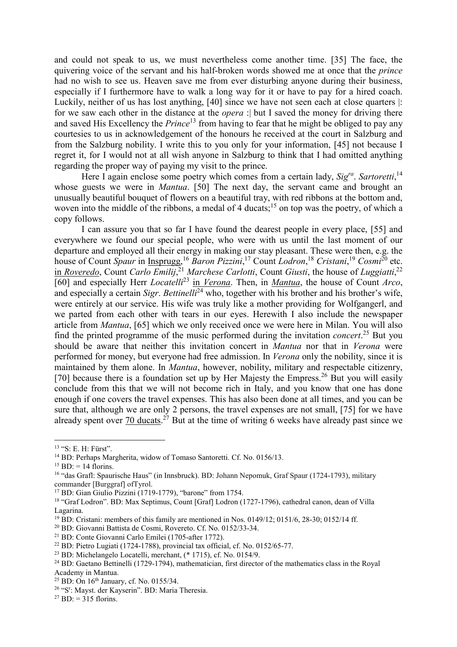and could not speak to us, we must nevertheless come another time. [35] The face, the quivering voice of the servant and his half-broken words showed me at once that the *prince* had no wish to see us. Heaven save me from ever disturbing anyone during their business, especially if I furthermore have to walk a long way for it or have to pay for a hired coach. Luckily, neither of us has lost anything, [40] since we have not seen each at close quarters |: for we saw each other in the distance at the *opera* :| but I saved the money for driving there and saved His Excellency the *Prince*<sup>13</sup> from having to fear that he might be obliged to pay any courtesies to us in acknowledgement of the honours he received at the court in Salzburg and from the Salzburg nobility. I write this to you only for your information, [45] not because I regret it, for I would not at all wish anyone in Salzburg to think that I had omitted anything regarding the proper way of paying my visit to the prince.

Here I again enclose some poetry which comes from a certain lady, Sig<sup>ra</sup>. Sartoretti,<sup>14</sup> whose guests we were in *Mantua*. [50] The next day, the servant came and brought an unusually beautiful bouquet of flowers on a beautiful tray, with red ribbons at the bottom and, woven into the middle of the ribbons, a medal of 4 ducats;<sup>15</sup> on top was the poetry, of which a copy follows.

 I can assure you that so far I have found the dearest people in every place, [55] and everywhere we found our special people, who were with us until the last moment of our departure and employed all their energy in making our stay pleasant. These were then, e.g. the house of Count *Spaur* in Insprugg,<sup>16</sup> *Baron Pizzini*, <sup>17</sup> Count *Lodron*, <sup>18</sup> *Cristani*, <sup>19</sup> *Cosmi*<sup>20</sup> etc. in *Roveredo*, Count *Carlo Emilij*, <sup>21</sup> *Marchese Carlotti*, Count *Giusti*, the house of *Luggiatti*, 22 [60] and especially Herr *Locatelli*<sup>23</sup> in *Verona*. Then, in *Mantua*, the house of Count *Arco*, and especially a certain *Sigr. Bettinelli*<sup>24</sup> who, together with his brother and his brother's wife, were entirely at our service. His wife was truly like a mother providing for Wolfgangerl, and we parted from each other with tears in our eyes. Herewith I also include the newspaper article from *Mantua*, [65] which we only received once we were here in Milan. You will also find the printed programme of the music performed during the invitation *concert*. <sup>25</sup> But you should be aware that neither this invitation concert in *Mantua* nor that in *Verona* were performed for money, but everyone had free admission. In *Verona* only the nobility, since it is maintained by them alone. In *Mantua*, however, nobility, military and respectable citizenry, [70] because there is a foundation set up by Her Majesty the Empress.<sup>26</sup> But you will easily conclude from this that we will not become rich in Italy, and you know that one has done enough if one covers the travel expenses. This has also been done at all times, and you can be sure that, although we are only 2 persons, the travel expenses are not small, [75] for we have already spent over 70 ducats.<sup>27</sup> But at the time of writing 6 weeks have already past since we

 $\overline{a}$ 

<sup>13</sup> "S: E. H: Fürst".

<sup>&</sup>lt;sup>14</sup> BD: Perhaps Margherita, widow of Tomaso Santoretti. Cf. No. 0156/13.

 $^{15}$  BD: = 14 florins.

<sup>&</sup>lt;sup>16</sup> "das Grafl: Spaurische Haus" (in Innsbruck). BD: Johann Nepomuk, Graf Spaur (1724-1793), military commander [Burggraf] ofTyrol.

<sup>17</sup> BD: Gian Giulio Pizzini (1719-1779), "barone" from 1754.

<sup>18</sup> "Graf Lodron". BD: Max Septimus, Count [Graf] Lodron (1727-1796), cathedral canon, dean of Villa Lagarina.

<sup>&</sup>lt;sup>19</sup> BD: Cristani: members of this family are mentioned in Nos. 0149/12; 0151/6, 28-30; 0152/14 ff.

<sup>20</sup> BD: Giovanni Battista de Cosmi, Rovereto. Cf. No. 0152/33-34.

<sup>21</sup> BD: Conte Giovanni Carlo Emilei (1705-after 1772).

<sup>22</sup> BD: Pietro Lugiati (1724-1788), provincial tax official, cf. No. 0152/65-77.

<sup>23</sup> BD: Michelangelo Locatelli, merchant, (\* 1715), cf. No. 0154/9.

<sup>&</sup>lt;sup>24</sup> BD: Gaetano Bettinelli (1729-1794), mathematician, first director of the mathematics class in the Royal Academy in Mantua.

<sup>&</sup>lt;sup>25</sup> BD: On 16<sup>th</sup> January, cf. No. 0155/34.

<sup>&</sup>lt;sup>26</sup> "S<sup>r</sup>: Mayst. der Kayserin". BD: Maria Theresia.

 $^{27}$  BD: = 315 florins.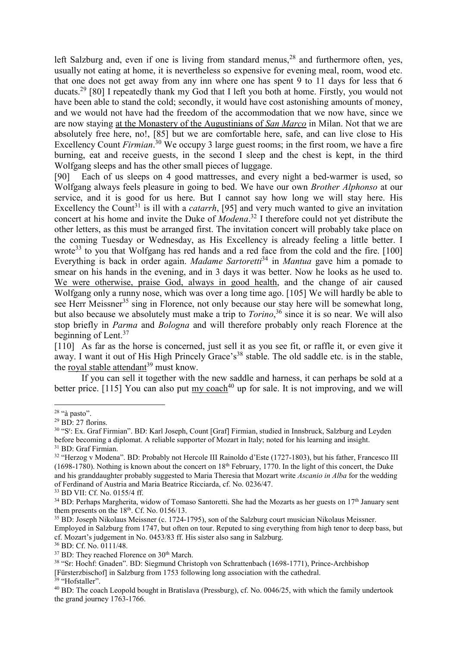left Salzburg and, even if one is living from standard menus,  $28$  and furthermore often, yes, usually not eating at home, it is nevertheless so expensive for evening meal, room, wood etc. that one does not get away from any inn where one has spent 9 to 11 days for less that 6 ducats.<sup>29</sup> [80] I repeatedly thank my God that I left you both at home. Firstly, you would not have been able to stand the cold; secondly, it would have cost astonishing amounts of money, and we would not have had the freedom of the accommodation that we now have, since we are now staying at the Monastery of the Augustinians of *San Marco* in Milan. Not that we are absolutely free here, no!, [85] but we are comfortable here, safe, and can live close to His Excellency Count *Firmian*. <sup>30</sup> We occupy 3 large guest rooms; in the first room, we have a fire burning, eat and receive guests, in the second I sleep and the chest is kept, in the third Wolfgang sleeps and has the other small pieces of luggage.

[90] Each of us sleeps on 4 good mattresses, and every night a bed-warmer is used, so Wolfgang always feels pleasure in going to bed. We have our own *Brother Alphonso* at our service, and it is good for us here. But I cannot say how long we will stay here. His Excellency the Count<sup>31</sup> is ill with a *catarrh*, [95] and very much wanted to give an invitation concert at his home and invite the Duke of *Modena*. <sup>32</sup> I therefore could not yet distribute the other letters, as this must be arranged first. The invitation concert will probably take place on the coming Tuesday or Wednesday, as His Excellency is already feeling a little better. I wrote<sup>33</sup> to you that Wolfgang has red hands and a red face from the cold and the fire. [100] Everything is back in order again. *Madame Sartoretti*<sup>34</sup> in *Mantua* gave him a pomade to smear on his hands in the evening, and in 3 days it was better. Now he looks as he used to. We were otherwise, praise God, always in good health, and the change of air caused Wolfgang only a runny nose, which was over a long time ago. [105] We will hardly be able to see Herr Meissner<sup>35</sup> sing in Florence, not only because our stay here will be somewhat long, but also because we absolutely must make a trip to *Torino*, <sup>36</sup> since it is so near. We will also stop briefly in *Parma* and *Bologna* and will therefore probably only reach Florence at the beginning of Lent.<sup>37</sup>

[110] As far as the horse is concerned, just sell it as you see fit, or raffle it, or even give it away. I want it out of His High Princely Grace's<sup>38</sup> stable. The old saddle etc. is in the stable, the royal stable attendant<sup>39</sup> must know.

 If you can sell it together with the new saddle and harness, it can perhaps be sold at a better price. [115] You can also put  $\frac{my}{2}$  coach<sup>40</sup> up for sale. It is not improving, and we will

 $\overline{a}$ 

 $28$  "à pasto".

 $29$  BD: 27 florins.

<sup>30</sup> "S<sup>r</sup> : Ex. Graf Firmian". BD: Karl Joseph, Count [Graf] Firmian, studied in Innsbruck, Salzburg and Leyden before becoming a diplomat. A reliable supporter of Mozart in Italy; noted for his learning and insight.

<sup>&</sup>lt;sup>31</sup> BD: Graf Firmian.

<sup>&</sup>lt;sup>32</sup> "Herzog v Modena". BD: Probably not Hercole III Rainoldo d'Este (1727-1803), but his father, Francesco III (1698-1780). Nothing is known about the concert on  $18<sup>th</sup>$  February, 1770. In the light of this concert, the Duke and his granddaughter probably suggested to Maria Theresia that Mozart write *Ascanio in Alba* for the wedding of Ferdinand of Austria and Maria Beatrice Ricciarda, cf. No. 0236/47.

<sup>33</sup> BD VII: Cf. No. 0155/4 ff.

 $34$  BD: Perhaps Margherita, widow of Tomaso Santoretti. She had the Mozarts as her guests on  $17<sup>th</sup>$  January sent them presents on the  $18<sup>th</sup>$ . Cf. No. 0156/13.

<sup>35</sup> BD: Joseph Nikolaus Meissner (c. 1724-1795), son of the Salzburg court musician Nikolaus Meissner.

Employed in Salzburg from 1747, but often on tour. Reputed to sing everything from high tenor to deep bass, but cf. Mozart's judgement in No. 0453/83 ff. His sister also sang in Salzburg.

<sup>36</sup> BD: Cf. No. 0111/48.

 $37$  BD: They reached Florence on  $30<sup>th</sup>$  March.

<sup>38</sup> "Sr: Hochf: Gnaden". BD: Siegmund Christoph von Schrattenbach (1698-1771), Prince-Archbishop [Fürsterzbischof] in Salzburg from 1753 following long association with the cathedral.

<sup>&</sup>lt;sup>39</sup> "Hofstaller".

<sup>&</sup>lt;sup>40</sup> BD: The coach Leopold bought in Bratislava (Pressburg), cf. No. 0046/25, with which the family undertook the grand journey 1763-1766.